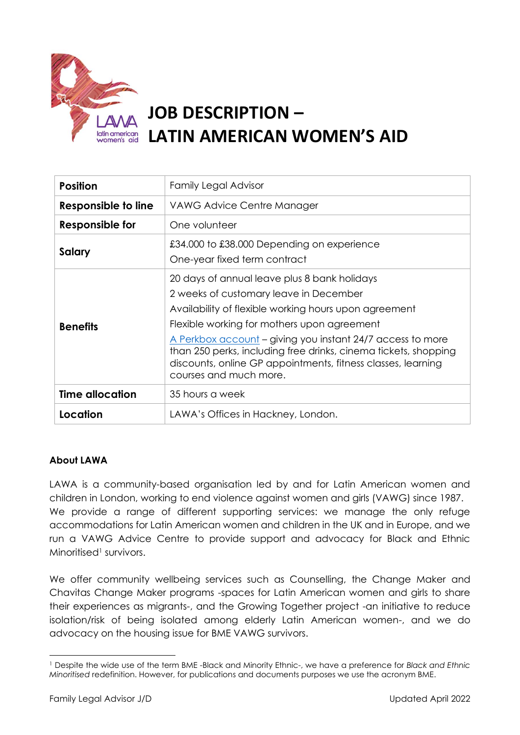

# **JOB DESCRIPTION – LATIN AMERICAN WOMEN'S AID**

| <b>Position</b>        | <b>Family Legal Advisor</b>                                                                                                                                                                                                                                                                                                                                                                                               |  |
|------------------------|---------------------------------------------------------------------------------------------------------------------------------------------------------------------------------------------------------------------------------------------------------------------------------------------------------------------------------------------------------------------------------------------------------------------------|--|
| Responsible to line    | VAWG Advice Centre Manager                                                                                                                                                                                                                                                                                                                                                                                                |  |
| Responsible for        | One volunteer                                                                                                                                                                                                                                                                                                                                                                                                             |  |
| Salary                 | £34.000 to £38.000 Depending on experience<br>One-year fixed term contract                                                                                                                                                                                                                                                                                                                                                |  |
| <b>Benefits</b>        | 20 days of annual leave plus 8 bank holidays<br>2 weeks of customary leave in December<br>Availability of flexible working hours upon agreement<br>Flexible working for mothers upon agreement<br>A Perkbox account – giving you instant 24/7 access to more<br>than 250 perks, including free drinks, cinema tickets, shopping<br>discounts, online GP appointments, fitness classes, learning<br>courses and much more. |  |
| <b>Time allocation</b> | 35 hours a week                                                                                                                                                                                                                                                                                                                                                                                                           |  |
| Location               | LAWA's Offices in Hackney, London.                                                                                                                                                                                                                                                                                                                                                                                        |  |

## **About LAWA**

LAWA is a community-based organisation led by and for Latin American women and children in London, working to end violence against women and girls (VAWG) since 1987. We provide a range of different supporting services: we manage the only refuge accommodations for Latin American women and children in the UK and in Europe, and we run a VAWG Advice Centre to provide support and advocacy for Black and Ethnic Minoritised<sup>1</sup> survivors.

We offer community wellbeing services such as Counselling, the Change Maker and Chavitas Change Maker programs -spaces for Latin American women and girls to share their experiences as migrants-, and the Growing Together project -an initiative to reduce isolation/risk of being isolated among elderly Latin American women-, and we do advocacy on the housing issue for BME VAWG survivors.

<sup>1</sup> Despite the wide use of the term BME -Black and Minority Ethnic-, we have a preference for *Black and Ethnic Minoritised* redefinition. However, for publications and documents purposes we use the acronym BME.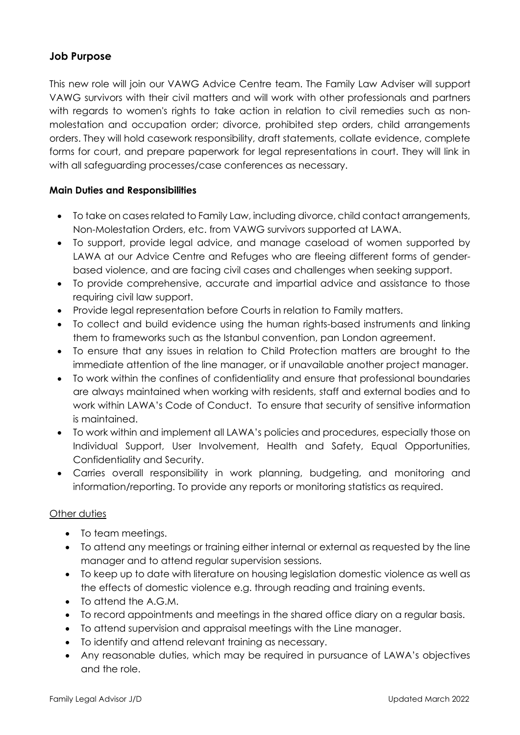## **Job Purpose**

This new role will join our VAWG Advice Centre team. The Family Law Adviser will support VAWG survivors with their civil matters and will work with other professionals and partners with regards to women's rights to take action in relation to civil remedies such as nonmolestation and occupation order; divorce, prohibited step orders, child arrangements orders. They will hold casework responsibility, draft statements, collate evidence, complete forms for court, and prepare paperwork for legal representations in court. They will link in with all safeguarding processes/case conferences as necessary.

### **Main Duties and Responsibilities**

- To take on cases related to Family Law, including divorce, child contact arrangements, Non-Molestation Orders, etc. from VAWG survivors supported at LAWA.
- To support, provide legal advice, and manage caseload of women supported by LAWA at our Advice Centre and Refuges who are fleeing different forms of genderbased violence, and are facing civil cases and challenges when seeking support.
- To provide comprehensive, accurate and impartial advice and assistance to those requiring civil law support.
- Provide legal representation before Courts in relation to Family matters.
- To collect and build evidence using the human rights-based instruments and linking them to frameworks such as the Istanbul convention, pan London agreement.
- To ensure that any issues in relation to Child Protection matters are brought to the immediate attention of the line manager, or if unavailable another project manager.
- To work within the confines of confidentiality and ensure that professional boundaries are always maintained when working with residents, staff and external bodies and to work within LAWA's Code of Conduct. To ensure that security of sensitive information is maintained.
- To work within and implement all LAWA's policies and procedures, especially those on Individual Support, User Involvement, Health and Safety, Equal Opportunities, Confidentiality and Security.
- Carries overall responsibility in work planning, budgeting, and monitoring and information/reporting. To provide any reports or monitoring statistics as required.

### Other duties

- To team meetings.
- To attend any meetings or training either internal or external as requested by the line manager and to attend regular supervision sessions.
- To keep up to date with literature on housing legislation domestic violence as well as the effects of domestic violence e.g. through reading and training events.
- To attend the A.G.M.
- To record appointments and meetings in the shared office diary on a regular basis.
- To attend supervision and appraisal meetings with the Line manager.
- To identify and attend relevant training as necessary.
- Any reasonable duties, which may be required in pursuance of LAWA's objectives and the role.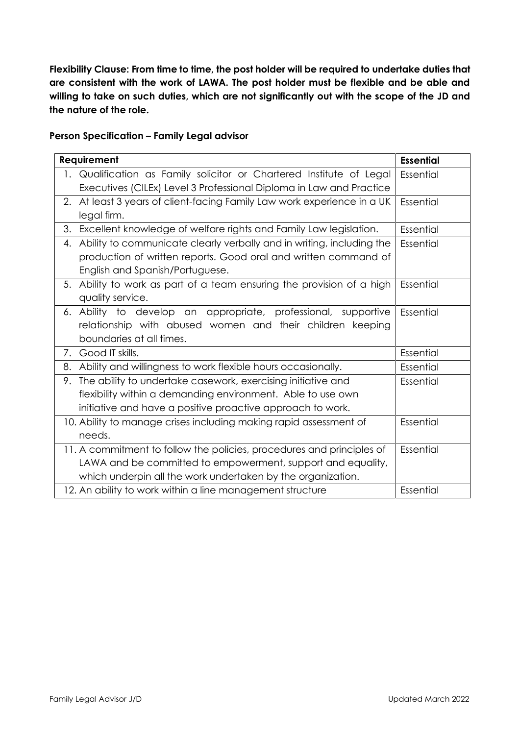**Flexibility Clause: From time to time, the post holder will be required to undertake duties that are consistent with the work of LAWA. The post holder must be flexible and be able and willing to take on such duties, which are not significantly out with the scope of the JD and the nature of the role.**

#### **Person Specification – Family Legal advisor**

| Requirement                                                           | <b>Essential</b>                                                      |           |
|-----------------------------------------------------------------------|-----------------------------------------------------------------------|-----------|
|                                                                       | 1. Qualification as Family solicitor or Chartered Institute of Legal  | Essential |
|                                                                       | Executives (CILEx) Level 3 Professional Diploma in Law and Practice   |           |
| 2.                                                                    | At least 3 years of client-facing Family Law work experience in a UK  | Essential |
|                                                                       | legal firm.                                                           |           |
|                                                                       | 3. Excellent knowledge of welfare rights and Family Law legislation.  | Essential |
| 4.                                                                    | Ability to communicate clearly verbally and in writing, including the | Essential |
|                                                                       | production of written reports. Good oral and written command of       |           |
|                                                                       | English and Spanish/Portuguese.                                       |           |
| 5.                                                                    | Ability to work as part of a team ensuring the provision of a high    | Essential |
|                                                                       | quality service.                                                      |           |
|                                                                       | 6. Ability to develop an appropriate, professional, supportive        | Essential |
|                                                                       | relationship with abused women and their children keeping             |           |
|                                                                       | boundaries at all times.                                              |           |
| 7.                                                                    | Good IT skills.                                                       | Essential |
| 8.                                                                    | Ability and willingness to work flexible hours occasionally.          | Essential |
| 9.                                                                    | The ability to undertake casework, exercising initiative and          | Essential |
|                                                                       | flexibility within a demanding environment. Able to use own           |           |
|                                                                       | initiative and have a positive proactive approach to work.            |           |
| 10. Ability to manage crises including making rapid assessment of     |                                                                       | Essential |
|                                                                       |                                                                       |           |
| 11. A commitment to follow the policies, procedures and principles of | Essential                                                             |           |
|                                                                       |                                                                       |           |
|                                                                       |                                                                       |           |
| 12. An ability to work within a line management structure             |                                                                       | Essential |